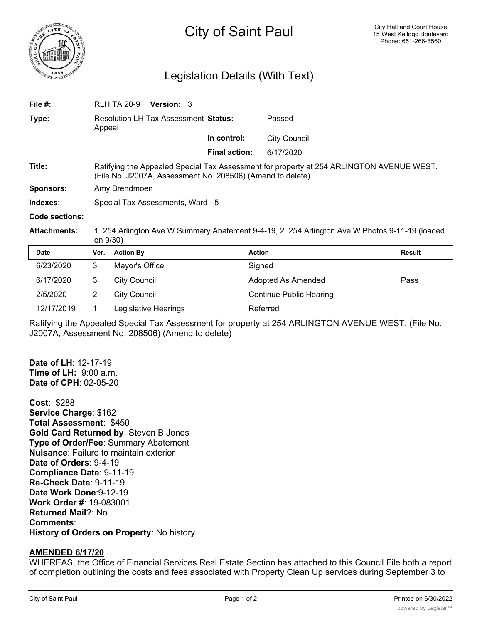

## Legislation Details (With Text)

| File $#$ :          |                                                                                                                                                        | <b>RLH TA 20-9</b>  | <b>Version: 3</b> |                      |                     |        |
|---------------------|--------------------------------------------------------------------------------------------------------------------------------------------------------|---------------------|-------------------|----------------------|---------------------|--------|
| Type:               | <b>Resolution LH Tax Assessment Status:</b><br>Appeal                                                                                                  |                     |                   |                      | Passed              |        |
|                     |                                                                                                                                                        |                     |                   | In control:          | <b>City Council</b> |        |
|                     |                                                                                                                                                        |                     |                   | <b>Final action:</b> | 6/17/2020           |        |
| Title:              | Ratifying the Appealed Special Tax Assessment for property at 254 ARLINGTON AVENUE WEST.<br>(File No. J2007A, Assessment No. 208506) (Amend to delete) |                     |                   |                      |                     |        |
| Sponsors:           | Amy Brendmoen                                                                                                                                          |                     |                   |                      |                     |        |
| Indexes:            | Special Tax Assessments, Ward - 5                                                                                                                      |                     |                   |                      |                     |        |
| Code sections:      |                                                                                                                                                        |                     |                   |                      |                     |        |
| <b>Attachments:</b> | 1. 254 Arlington Ave W.Summary Abatement.9-4-19, 2. 254 Arlington Ave W.Photos.9-11-19 (loaded<br>on 9/30)                                             |                     |                   |                      |                     |        |
| <b>Date</b>         | Ver.                                                                                                                                                   | <b>Action By</b>    |                   | <b>Action</b>        |                     | Result |
| 6/23/2020           | 3                                                                                                                                                      | Mayor's Office      |                   |                      | Signed              |        |
| 6/17/2020           | 3                                                                                                                                                      | <b>City Council</b> |                   |                      | Adopted As Amended  | Pass   |

| 2/5/2020   | City Council         | Continue |
|------------|----------------------|----------|
| 12/17/2019 | Legislative Hearings | Referred |

Ratifying the Appealed Special Tax Assessment for property at 254 ARLINGTON AVENUE WEST. (File No. J2007A, Assessment No. 208506) (Amend to delete)

Continue Public Hearing

**Date of LH**: 12-17-19 **Time of LH:** 9:00 a.m. **Date of CPH**: 02-05-20

**Cost**: \$288 **Service Charge**: \$162 **Total Assessment**: \$450 **Gold Card Returned by**: Steven B Jones **Type of Order/Fee**: Summary Abatement **Nuisance**: Failure to maintain exterior **Date of Orders**: 9-4-19 **Compliance Date**: 9-11-19 **Re-Check Date**: 9-11-19 **Date Work Done**:9-12-19 **Work Order #**: 19-083001 **Returned Mail?**: No **Comments**: **History of Orders on Property**: No history

## **AMENDED 6/17/20**

WHEREAS, the Office of Financial Services Real Estate Section has attached to this Council File both a report of completion outlining the costs and fees associated with Property Clean Up services during September 3 to